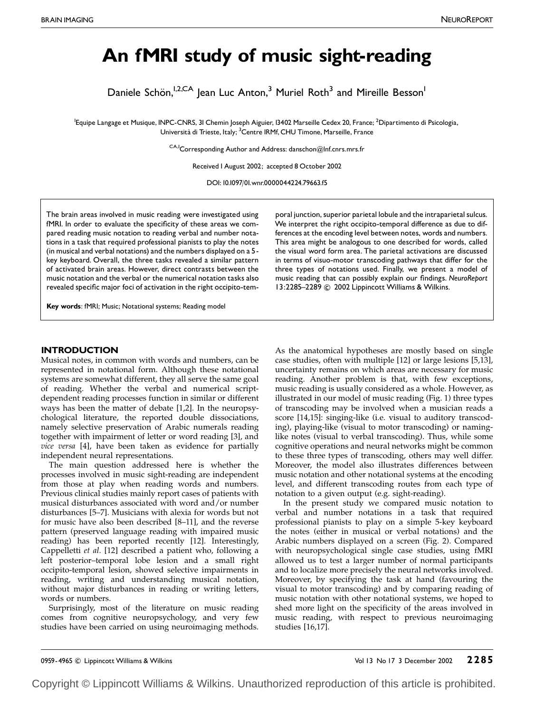# An fMRI study of music sight-reading

Daniele Schön,<sup>1,2,CA</sup> Jean Luc Anton,<sup>3</sup> Muriel Roth<sup>3</sup> and Mireille Besson<sup>1</sup>

<sup>1</sup>Equipe Langage et Musique, INPC-CNRS, 31 Chemin Joseph Aiguier, 13402 Marseille Cedex 20, France; <sup>2</sup>Dipartimento di Psicologia, Università di Trieste, Italy; <sup>3</sup>Centre IRMf, CHU Timone, Marseille, France

CA,<sup>1</sup>Corresponding Author and Address: danschon@Inf.cnrs.mrs.fr

Received | August 2002; accepted 8 October 2002

DOI: 10.1097/01.wnr.0000044224.79663.f5

The brain areas involved in music reading were investigated using fMRI. In order to evaluate the specificity of these areas we compared reading music notation to reading verbal and number notations in a task that required professional pianists to play the notes (in musical and verbal notations) and the numbers displayed on a 5 key keyboard. Overall, the three tasks revealed a similar pattern of activated brain areas. However, direct contrasts between the music notation and the verbal or the numerical notation tasks also revealed specific major foci of activation in the right occipito-temporal junction, superior parietal lobule and the intraparietal sulcus. We interpret the right occipito-temporal difference as due to differences at the encoding level between notes, words and numbers. This area might be analogous to one described for words, called the visual word form area. The parietal activations are discussed in terms of visuo-motor transcoding pathways that differ for the three types of notations used. Finally, we present a model of music reading that can possibly explain our findings. NeuroReport 13:2285-2289 C 2002 Lippincott Williams & Wilkins.

Key words: fMRI; Music; Notational systems; Reading model

#### **INTRODUCTION**

Musical notes, in common with words and numbers, can be represented in notational form. Although these notational systems are somewhat different, they all serve the same goal of reading. Whether the verbal and numerical scriptdependent reading processes function in similar or different ways has been the matter of debate [1,2]. In the neuropsychological literature, the reported double dissociations, namely selective preservation of Arabic numerals reading together with impairment of letter or word reading [3], and vice versa [4], have been taken as evidence for partially independent neural representations.

The main question addressed here is whether the processes involved in music sight-reading are independent from those at play when reading words and numbers. Previous clinical studies mainly report cases of patients with musical disturbances associated with word and/or number disturbances [5–7]. Musicians with alexia for words but not for music have also been described [8–11], and the reverse pattern (preserved language reading with impaired music reading) has been reported recently [12]. Interestingly, Cappelletti et al. [12] described a patient who, following a left posterior–temporal lobe lesion and a small right occipito-temporal lesion, showed selective impairments in reading, writing and understanding musical notation, without major disturbances in reading or writing letters, words or numbers.

Surprisingly, most of the literature on music reading comes from cognitive neuropsychology, and very few studies have been carried on using neuroimaging methods.

As the anatomical hypotheses are mostly based on single case studies, often with multiple [12] or large lesions [5,13], uncertainty remains on which areas are necessary for music reading. Another problem is that, with few exceptions, music reading is usually considered as a whole. However, as illustrated in our model of music reading (Fig. 1) three types of transcoding may be involved when a musician reads a score [14,15]: singing-like (i.e. visual to auditory transcoding), playing-like (visual to motor transcoding) or naminglike notes (visual to verbal transcoding). Thus, while some cognitive operations and neural networks might be common to these three types of transcoding, others may well differ. Moreover, the model also illustrates differences between music notation and other notational systems at the encoding level, and different transcoding routes from each type of notation to a given output (e.g. sight-reading).

In the present study we compared music notation to verbal and number notations in a task that required professional pianists to play on a simple 5-key keyboard the notes (either in musical or verbal notations) and the Arabic numbers displayed on a screen (Fig. 2). Compared with neuropsychological single case studies, using fMRI allowed us to test a larger number of normal participants and to localize more precisely the neural networks involved. Moreover, by specifying the task at hand (favouring the visual to motor transcoding) and by comparing reading of music notation with other notational systems, we hoped to shed more light on the specificity of the areas involved in music reading, with respect to previous neuroimaging studies [16,17].

Copyright © Lippincott Williams & Wilkins. Unauthorized reproduction of this article is prohibited.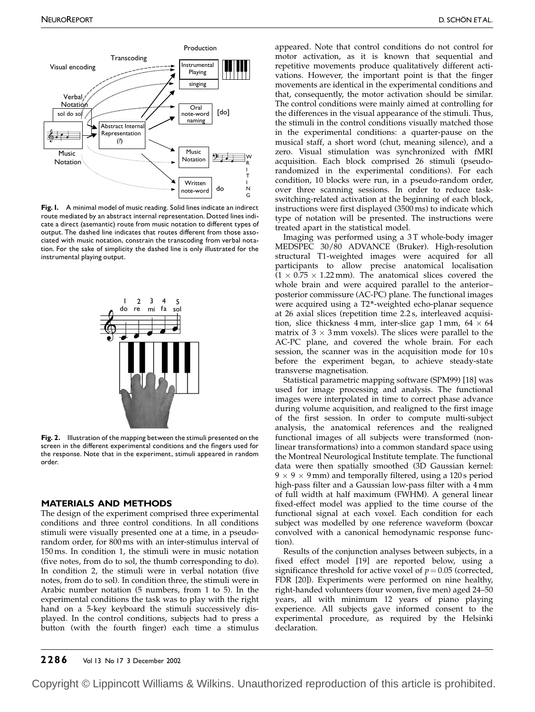

Fig. I. A minimal model of music reading. Solid lines indicate an indirect route mediated by an abstract internal representation. Dotted lines indicate a direct (asemantic) route from music notation to different types of output. The dashed line indicates that routes different from those associated with music notation, constrain the transcoding from verbal notation. For the sake of simplicity the dashed line is only illustrated for the instrumental playing output.



Fig. 2. Illustration of the mapping between the stimuli presented on the screen in the different experimental conditions and the fingers used for the response. Note that in the experiment, stimuli appeared in random order.

# MATERIALS AND METHODS

The design of the experiment comprised three experimental conditions and three control conditions. In all conditions stimuli were visually presented one at a time, in a pseudorandom order, for 800 ms with an inter-stimulus interval of 150 ms. In condition 1, the stimuli were in music notation (five notes, from do to sol, the thumb corresponding to do). In condition 2, the stimuli were in verbal notation (five notes, from do to sol). In condition three, the stimuli were in Arabic number notation (5 numbers, from 1 to 5). In the experimental conditions the task was to play with the right hand on a 5-key keyboard the stimuli successively displayed. In the control conditions, subjects had to press a button (with the fourth finger) each time a stimulus

appeared. Note that control conditions do not control for motor activation, as it is known that sequential and repetitive movements produce qualitatively different activations. However, the important point is that the finger movements are identical in the experimental conditions and that, consequently, the motor activation should be similar. The control conditions were mainly aimed at controlling for the differences in the visual appearance of the stimuli. Thus, the stimuli in the control conditions visually matched those in the experimental conditions: a quarter-pause on the musical staff, a short word (chut, meaning silence), and a zero. Visual stimulation was synchronized with fMRI acquisition. Each block comprised 26 stimuli (pseudorandomized in the experimental conditions). For each condition, 10 blocks were run, in a pseudo-random order, over three scanning sessions. In order to reduce taskswitching-related activation at the beginning of each block, instructions were first displayed (3500 ms) to indicate which type of notation will be presented. The instructions were treated apart in the statistical model.

Imaging was performed using a 3 T whole-body imager MEDSPEC 30/80 ADVANCE (Bruker). High-resolution structural T1-weighted images were acquired for all participants to allow precise anatomical localisation  $(1 \times 0.75 \times 1.22 \text{ mm})$ . The anatomical slices covered the whole brain and were acquired parallel to the anterior– posterior commissure (AC-PC) plane. The functional images were acquired using a T2\*-weighted echo-planar sequence at 26 axial slices (repetition time 2.2 s, interleaved acquisition, slice thickness  $4\,\mathrm{mm}$ , inter-slice gap  $1\,\mathrm{mm}$ ,  $64\times64$ matrix of 3  $\times$  3 mm voxels). The slices were parallel to the AC-PC plane, and covered the whole brain. For each session, the scanner was in the acquisition mode for 10 s before the experiment began, to achieve steady-state transverse magnetisation.

Statistical parametric mapping software (SPM99) [18] was used for image processing and analysis. The functional images were interpolated in time to correct phase advance during volume acquisition, and realigned to the first image of the first session. In order to compute multi-subject analysis, the anatomical references and the realigned functional images of all subjects were transformed (nonlinear transformations) into a common standard space using the Montreal Neurological Institute template. The functional data were then spatially smoothed (3D Gaussian kernel:  $9 \times 9 \times 9$  mm) and temporally filtered, using a 120 s period high-pass filter and a Gaussian low-pass filter with a 4 mm of full width at half maximum (FWHM). A general linear fixed-effect model was applied to the time course of the functional signal at each voxel. Each condition for each subject was modelled by one reference waveform (boxcar convolved with a canonical hemodynamic response function).

Results of the conjunction analyses between subjects, in a fixed effect model [19] are reported below, using a significance threshold for active voxel of  $p = 0.05$  (corrected, FDR [20]). Experiments were performed on nine healthy, right-handed volunteers (four women, five men) aged 24–50 years, all with minimum 12 years of piano playing experience. All subjects gave informed consent to the experimental procedure, as required by the Helsinki declaration.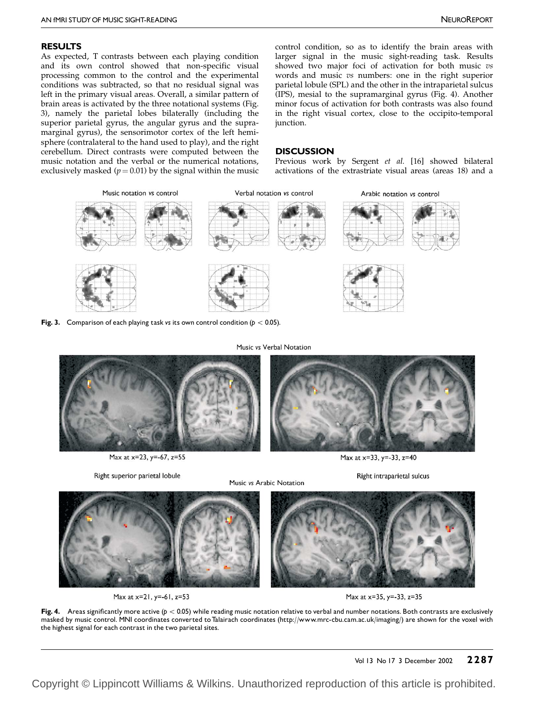# RESULTS

As expected, T contrasts between each playing condition and its own control showed that non-specific visual processing common to the control and the experimental conditions was subtracted, so that no residual signal was left in the primary visual areas. Overall, a similar pattern of brain areas is activated by the three notational systems (Fig. 3), namely the parietal lobes bilaterally (including the superior parietal gyrus, the angular gyrus and the supramarginal gyrus), the sensorimotor cortex of the left hemisphere (contralateral to the hand used to play), and the right cerebellum. Direct contrasts were computed between the music notation and the verbal or the numerical notations, exclusively masked ( $p = 0.01$ ) by the signal within the music control condition, so as to identify the brain areas with larger signal in the music sight-reading task. Results showed two major foci of activation for both music vs words and music vs numbers: one in the right superior parietal lobule (SPL) and the other in the intraparietal sulcus (IPS), mesial to the supramarginal gyrus (Fig. 4). Another minor focus of activation for both contrasts was also found in the right visual cortex, close to the occipito-temporal junction.

### **DISCUSSION**

Previous work by Sergent et al. [16] showed bilateral activations of the extrastriate visual areas (areas 18) and a



Fig. 3. Comparison of each playing task vs its own control condition ( $p < 0.05$ ).

Music vs Verbal Notation



Max at x=23, y=-67, z=55

Right superior parietal lobule

Music vs Arabic Notation

Right intraparietal sulcus







Fig. 4. Areas significantly more active  $(p < 0.05)$  while reading music notation relative to verbal and number notations. Both contrasts are exclusively masked by music control. MNIcoordinates converted toTalairach coordinates (http://www.mrc-cbu.cam.ac.uk/imaging/) are shown for the voxel with the highest signal for each contrast in the two parietal sites.



Copyright © Lippincott Williams & Wilkins. Unauthorized reproduction of this article is prohibited.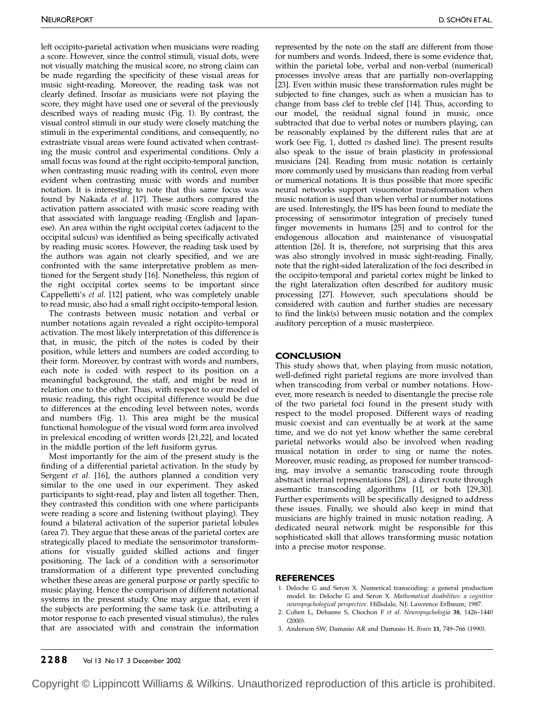left occipito-parietal activation when musicians were reading a score. However, since the control stimuli, visual dots, were not visually matching the musical score, no strong claim can be made regarding the specificity of these visual areas for music sight-reading. Moreover, the reading task was not clearly defined. Insofar as musicians were not playing the score, they might have used one or several of the previously described ways of reading music (Fig. 1). By contrast, the visual control stimuli in our study were closely matching the stimuli in the experimental conditions, and consequently, no extrastriate visual areas were found activated when contrasting the music control and experimental conditions. Only a small focus was found at the right occipito-temporal junction, when contrasting music reading with its control, even more evident when contrasting music with words and number notation. It is interesting to note that this same focus was found by Nakada et al. [17]. These authors compared the activation pattern associated with music score reading with that associated with language reading (English and Japanese). An area within the right occipital cortex (adjacent to the occipital sulcus) was identified as being specifically activated by reading music scores. However, the reading task used by the authors was again not clearly specified, and we are confronted with the same interpretative problem as mentioned for the Sergent study [16]. Nonetheless, this region of the right occipital cortex seems to be important since Cappelletti's et al. [12] patient, who was completely unable to read music, also had a small right occipito-temporal lesion.

The contrasts between music notation and verbal or number notations again revealed a right occipito-temporal activation. The most likely interpretation of this difference is that, in music, the pitch of the notes is coded by their position, while letters and numbers are coded according to their form. Moreover, by contrast with words and numbers, each note is coded with respect to its position on a meaningful background, the staff, and might be read in relation one to the other. Thus, with respect to our model of music reading, this right occipital difference would be due to differences at the encoding level between notes, words and numbers (Fig. 1). This area might be the musical functional homologue of the visual word form area involved in prelexical encoding of written words [21,22], and located in the middle portion of the left fusiform gyrus.

Most importantly for the aim of the present study is the finding of a differential parietal activation. In the study by Sergent et al. [16], the authors planned a condition very similar to the one used in our experiment. They asked participants to sight-read, play and listen all together. Then, they contrasted this condition with one where participants were reading a score and listening (without playing). They found a bilateral activation of the superior parietal lobules (area 7). They argue that these areas of the parietal cortex are strategically placed to mediate the sensorimotor transformations for visually guided skilled actions and finger positioning. The lack of a condition with a sensorimotor transformation of a different type prevented concluding whether these areas are general purpose or partly specific to music playing. Hence the comparison of different notational systems in the present study. One may argue that, even if the subjects are performing the same task (i.e. attributing a motor response to each presented visual stimulus), the rules that are associated with and constrain the information

represented by the note on the staff are different from those for numbers and words. Indeed, there is some evidence that, within the parietal lobe, verbal and non-verbal (numerical) processes involve areas that are partially non-overlapping [23]. Even within music these transformation rules might be subjected to fine changes, such as when a musician has to change from bass clef to treble clef [14]. Thus, according to our model, the residual signal found in music, once subtracted that due to verbal notes or numbers playing, can be reasonably explained by the different rules that are at work (see Fig. 1, dotted vs dashed line). The present results also speak to the issue of brain plasticity in professional musicians [24]. Reading from music notation is certainly more commonly used by musicians than reading from verbal or numerical notations. It is thus possible that more specific neural networks support visuomotor transformation when music notation is used than when verbal or number notations are used. Interestingly, the IPS has been found to mediate the processing of sensorimotor integration of precisely tuned finger movements in humans [25] and to control for the endogenous allocation and maintenance of visuospatial attention [26]. It is, therefore, not surprising that this area was also strongly involved in music sight-reading. Finally, note that the right-sided lateralization of the foci described in the occipito-temporal and parietal cortex might be linked to the right lateralization often described for auditory music processing [27]. However, such speculations should be considered with caution and further studies are necessary to find the link(s) between music notation and the complex auditory perception of a music masterpiece.

# **CONCLUSION**

This study shows that, when playing from music notation, well-defined right parietal regions are more involved than when transcoding from verbal or number notations. However, more research is needed to disentangle the precise role of the two parietal foci found in the present study with respect to the model proposed. Different ways of reading music coexist and can eventually be at work at the same time, and we do not yet know whether the same cerebral parietal networks would also be involved when reading musical notation in order to sing or name the notes. Moreover, music reading, as proposed for number transcoding, may involve a semantic transcoding route through abstract internal representations [28], a direct route through asemantic transcoding algorithms [1], or both [29,30]. Further experiments will be specifically designed to address these issues. Finally, we should also keep in mind that musicians are highly trained in music notation reading. A dedicated neural network might be responsible for this sophisticated skill that allows transforming music notation into a precise motor response.

# **REFERENCES**

- 1. Deloche G and Seron X. Numerical transcoding: a general production model. In: Deloche G and Seron X. Mathematical disabilities: a cognitive neuropsychological perspective. Hillsdale, NJ: Lawrence Erlbaum; 1987.
- 2. Cohen L, Dehaene S, Chochon F et al. Neuropsychologia 38, 1426–1440  $(2000)$
- 3. Anderson SW, Damasio AR and Damasio H. Brain 11, 749–766 (1990).